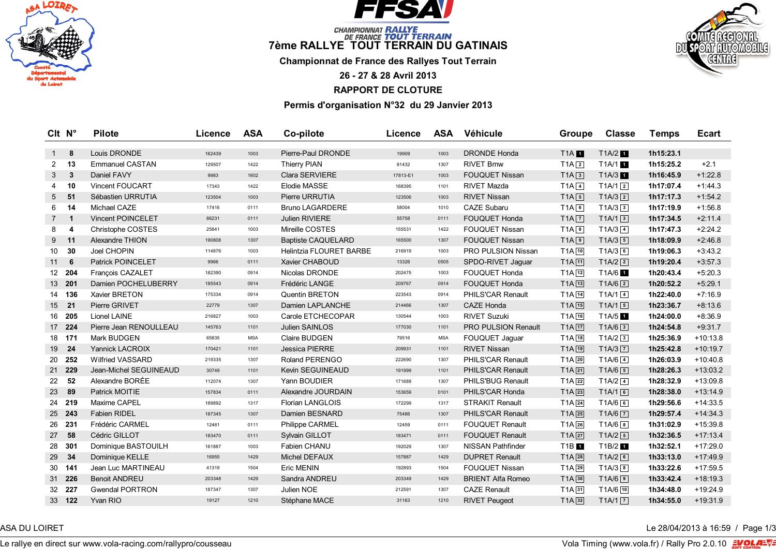



# *CHAMPIONINAT RALLYE*<br>7ème RALLYE TOUT TERRAIN DU GATINAIS

**Championnat de France des Rallyes Tout Terrain**

**26 - 27 & 28 Avril 2013**

**RAPPORT DE CLOTURE**

**Permis d'organisation N°32 du 29 Janvier 2013**

| CIt N°       |                | <b>Pilote</b>            | Licence | <b>ASA</b> | Co-pilote                      | Licence  | <b>ASA</b> | Véhicule                   | Groupe              | <b>Classe</b>        | <b>Temps</b> | <b>Ecart</b> |
|--------------|----------------|--------------------------|---------|------------|--------------------------------|----------|------------|----------------------------|---------------------|----------------------|--------------|--------------|
| $1 \quad$    | 8              | Louis DRONDE             | 162439  | 1003       | Pierre-Paul DRONDE             | 19909    | 1003       | <b>DRONDE Honda</b>        | <b>T1A</b>          | $T1A/2$ 1            | 1h15:23.1    |              |
| 2            | 13             | <b>Emmanuel CASTAN</b>   | 129507  | 1422       | <b>Thierry PIAN</b>            | 81432    | 1307       | <b>RIVET Bmw</b>           | $T1A$ <sup>2</sup>  | T1A/1 1              | 1h15:25.2    | $+2.1$       |
| 3            | 3              | Daniel FAVY              | 9983    | 1602       | <b>Clara SERVIERE</b>          | 17813-E1 | 1003       | <b>FOUQUET Nissan</b>      | $T1A$ $3$           | T1A/3                | 1h16:45.9    | $+1:22.8$    |
| 4            | 10             | <b>Vincent FOUCART</b>   | 17343   | 1422       | Elodie MASSE                   | 168395   | 1101       | RIVET Mazda                | $T1A$ <sup>4</sup>  | $T1A/1$ <sup>2</sup> | 1h17:07.4    | $+1:44.3$    |
| 5            | 51             | Sébastien URRUTIA        | 123504  | 1003       | Pierre URRUTIA                 | 123506   | 1003       | <b>RIVET Nissan</b>        | $T1A\boxed{5}$      | $T1A/3$ <sup>2</sup> | 1h17:17.3    | $+1:54.2$    |
| 6            | 14             | Michael CAZE             | 17416   | 0111       | <b>Bruno LAGARDERE</b>         | 58004    | 1010       | <b>CAZE Subaru</b>         | $T1A$ 6             | $T1A/3$ 3            | 1h17:19.9    | $+1:56.8$    |
| $7 \quad 1$  |                | <b>Vincent POINCELET</b> | 86231   | 0111       | <b>Julien RIVIERE</b>          | 55758    | 0111       | <b>FOUQUET Honda</b>       | $T1A$ $\boxed{7}$   | T1A/13               | 1h17:34.5    | $+2:11.4$    |
| 8            | $\overline{4}$ | Christophe COSTES        | 25841   | 1003       | Mireille COSTES                | 155531   | 1422       | <b>FOUQUET Nissan</b>      | $T1A$ <sup>8</sup>  | $T1A/3$ $\boxed{4}$  | 1h17:47.3    | $+2:24.2$    |
| 9            | 11             | Alexandre THION          | 190808  | 1307       | <b>Baptiste CAQUELARD</b>      | 165500   | 1307       | <b>FOUQUET Nissan</b>      | $T1A$ <sup>9</sup>  | $T1A/3$ 5            | 1h18:09.9    | $+2:46.8$    |
| 10           | 30             | Joel CHOPIN              | 114876  | 1003       | <b>Helintzia FLOURET BARBE</b> | 216919   | 1003       | PRO PULSION Nissan         | $T1A$ $10$          | $T1A/3$ 6            | 1h19:06.3    | $+3:43.2$    |
| $11 \quad 6$ |                | <b>Patrick POINCELET</b> | 9966    | 0111       | Xavier CHABOUD                 | 13326    | 0505       | SPDO-RIVET Jaguar          | $T1A$ $11$          | $T1A/2$ <sup>2</sup> | 1h19:20.4    | $+3:57.3$    |
|              | 12 204         | François CAZALET         | 182390  | 0914       | Nicolas DRONDE                 | 202475   | 1003       | <b>FOUQUET Honda</b>       | $TA$ $12$           | T1A/6 1              | 1h20:43.4    | $+5:20.3$    |
|              | 13 201         | Damien POCHELUBERRY      | 185543  | 0914       | Frédéric LANGE                 | 209767   | 0914       | <b>FOUQUET Honda</b>       | $T1A$ $13$          | $T1A/6$ <sup>2</sup> | 1h20:52.2    | $+5:29.1$    |
|              | 14 136         | Xavier BRETON            | 175334  | 0914       | Quentin BRETON                 | 223543   | 0914       | PHILS'CAR Renault          | $T1A$ $14$          | $T1A/1$ <sup>4</sup> | 1h22:40.0    | $+7:16.9$    |
| 15 21        |                | Pierre GRIVET            | 22779   | 1307       | Damien LAPLANCHE               | 214466   | 1307       | <b>CAZE Honda</b>          | $T1A$ $15$          | T1A/15               | 1h23:36.7    | $+8:13.6$    |
|              | 16 205         | <b>Lionel LAINE</b>      | 216827  | 1003       | Carole ETCHECOPAR              | 130544   | 1003       | <b>RIVET Suzuki</b>        | $T1A$ $16$          | T1A/5 1              | 1h24:00.0    | $+8:36.9$    |
|              | 17 224         | Pierre Jean RENOULLEAU   | 145763  | 1101       | Julien SAINLOS                 | 177030   | 1101       | <b>PRO PULSION Renault</b> | $T1A$ <sup>17</sup> | $T1A/6$ <sup>3</sup> | 1h24:54.8    | $+9:31.7$    |
|              | 18 171         | Mark BUDGEN              | 65835   | <b>MSA</b> | Claire BUDGEN                  | 79516    | <b>MSA</b> | FOUQUET Jaguar             | $T1A$ $18$          | $T1A/2$ <sup>3</sup> | 1h25:36.9    | $+10:13.8$   |
|              | 19 24          | <b>Yannick LACROIX</b>   | 170421  | 1101       | <b>Jessica PIERRE</b>          | 209931   | 1101       | <b>RIVET Nissan</b>        | $T1A$ <sup>19</sup> | $T1A/3$ $\boxed{7}$  | 1h25:42.8    | $+10:19.7$   |
|              | 20 252         | <b>Wilfried VASSARD</b>  | 219335  | 1307       | Roland PERENGO                 | 222690   | 1307       | PHILS'CAR Renault          | $TA$ <sub>20</sub>  | $T1A/6$ 4            | 1h26:03.9    | $+10:40.8$   |
|              | 21 229         | Jean-Michel SEGUINEAUD   | 30749   | 1101       | Kevin SEGUINEAUD               | 191999   | 1101       | PHILS'CAR Renault          | $T1A$ $21$          | $T1A/6$ 5            | 1h28:26.3    | $+13:03.2$   |
| 22           | 52             | Alexandre BORÉE          | 112074  | 1307       | Yann BOUDIER                   | 171689   | 1307       | PHILS'BUG Renault          | $T1A$ $22$          | $T1A/2$ 4            | 1h28:32.9    | $+13:09.8$   |
| 23           | 89             | Patrick MOITIE           | 157834  | 0111       | Alexandre JOURDAIN             | 153659   | 0101       | PHILS'CAR Honda            | $T1A$ $23$          | T1A/16               | 1h28:38.0    | $+13:14.9$   |
| 24           | 219            | Maxime CAPEL             | 189892  | 1317       | <b>Florian LANGLOIS</b>        | 172299   | 1317       | <b>STRAKIT Renault</b>     | $T1A$ <sup>24</sup> | $T1A/6$ 6            | 1h29:56.6    | $+14:33.5$   |
|              | 25 243         | Fabien RIDEL             | 187345  | 1307       | Damien BESNARD                 | 75486    | 1307       | PHILS'CAR Renault          | $T1A$ <sup>25</sup> | $T1A/6$ $\boxed{7}$  | 1h29:57.4    | $+14:34.3$   |
| 26           | 231            | Frédéric CARMEL          | 12461   | 0111       | Philippe CARMEL                | 12459    | 0111       | <b>FOUQUET Renault</b>     | $T1A$ $26$          | $T1A/6$ 8            | 1h31:02.9    | $+15:39.8$   |
| 27 58        |                | Cédric GILLOT            | 183470  | 0111       | Sylvain GILLOT                 | 183471   | 0111       | <b>FOUQUET Renault</b>     | $T1A$ $27$          | $T1A/2$ 5            | 1h32:36.5    | $+17:13.4$   |
| 28           | 301            | Dominique BASTOUILH      | 161887  | 1003       | Fabien CHANU                   | 192029   | 1307       | <b>NISSAN Pathfinder</b>   | T1B 1               | T1B/2 1              | 1h32:52.1    | $+17:29.0$   |
| 29           | 34             | Dominique KELLE          | 16955   | 1429       | Michel DEFAUX                  | 157887   | 1429       | <b>DUPRET Renault</b>      | T1A 28              | $T1A/2$ 6            | 1h33:13.0    | $+17:49.9$   |
| 30           | 141            | Jean Luc MARTINEAU       | 41319   | 1504       | <b>Eric MENIN</b>              | 192893   | 1504       | <b>FOUQUET Nissan</b>      | $T1A$ 29            | $T1A/3$ 8            | 1h33:22.6    | $+17:59.5$   |
|              | 31 226         | <b>Benoit ANDREU</b>     | 203348  | 1429       | Sandra ANDREU                  | 203349   | 1429       | <b>BRIENT Alfa Romeo</b>   | $T1A$ 30            | $T1A/6$ $9$          | 1h33:42.4    | $+18:19.3$   |
|              | 32 227         | <b>Gwendal PORTRON</b>   | 187347  | 1307       | Julien NOE                     | 212591   | 1307       | <b>CAZE Renault</b>        | $T1A$ 31            | T1A/6 10             | 1h34:48.0    | $+19:24.9$   |
|              | 33 122         | Yvan RIO                 | 19127   | 1210       | Stéphane MACE                  | 31163    | 1210       | <b>RIVET Peugeot</b>       | $T1A$ 32            | T1A/17               | 1h34:55.0    | $+19:31.9$   |

ASA DU LOIRET LE 28/04/2013 à 16:59 / Page 1/3

Le rallye en direct sur www.vola-racing.com/rallypro/cousseau volation of the community of the community of the community of the community of the community of the community of the community of the community of the communit

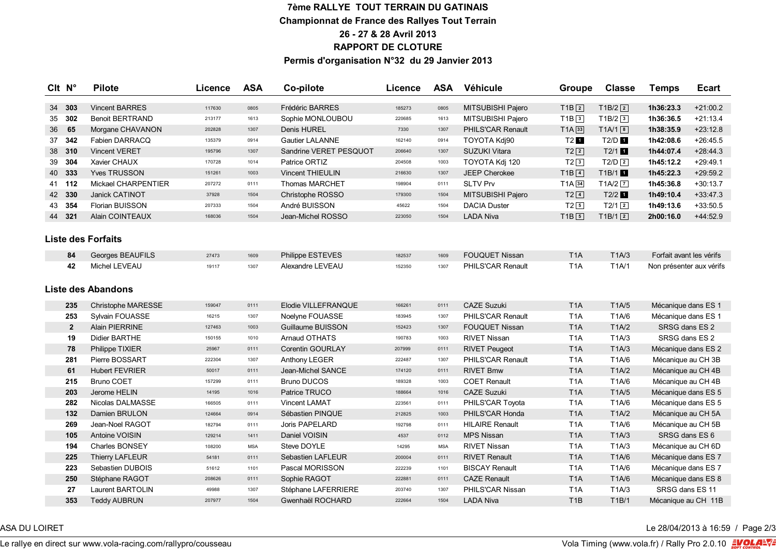### **7ème RALLYE TOUT TERRAIN DU GATINAIS Championnat de France des Rallyes Tout Terrain 26 - 27 & 28 Avril 2013 RAPPORT DE CLOTURE Permis d'organisation N°32 du 29 Janvier 2013**

| CIt N°             |                | <b>Pilote</b>             | Licence | <b>ASA</b> | Co-pilote               | Licence | <b>ASA</b> | Véhicule               | <b>Groupe</b>                  | <b>Classe</b>        | <b>Temps</b>             | <b>Ecart</b> |
|--------------------|----------------|---------------------------|---------|------------|-------------------------|---------|------------|------------------------|--------------------------------|----------------------|--------------------------|--------------|
|                    | 34 303         | <b>Vincent BARRES</b>     | 117630  | 0805       | <b>Frédéric BARRES</b>  | 185273  | 0805       | MITSUBISHI Pajero      | $T1B$ <sup>2</sup>             | $T1B/2$ <sup>2</sup> | 1h36:23.3                | $+21:00.2$   |
|                    | 35 302         | <b>Benoit BERTRAND</b>    | 213177  | 1613       | Sophie MONLOUBOU        | 220685  | 1613       | MITSUBISHI Pajero      | $T1B$ 3                        | $T1B/2$ <sup>3</sup> | 1h36:36.5                | $+21:13.4$   |
| 36                 | 65             | Morgane CHAVANON          | 202828  | 1307       | <b>Denis HUREL</b>      | 7330    | 1307       | PHILS'CAR Renault      | $T1A$ 33                       | $T1A/1$ <sup>8</sup> | 1h38:35.9                | $+23:12.8$   |
| 37                 | 342            | Fabien DARRACQ            | 135379  | 0914       | <b>Gautier LALANNE</b>  | 162140  | 0914       | TOYOTA Kdj90           | $T2$ 1                         | $T2/D$ 1             | 1h42:08.6                | $+26:45.5$   |
|                    | 38 310         | <b>Vincent VERET</b>      | 195796  | 1307       | Sandrine VERET PESQUOT  | 206640  | 1307       | <b>SUZUKI Vitara</b>   | $T2$ $2$                       | T2/11                | 1h44:07.4                | $+28:44.3$   |
| 39                 | 304            | Xavier CHAUX              | 170728  | 1014       | Patrice ORTIZ           | 204508  | 1003       | TOYOTA Kdj 120         | $T2$ <sup>3</sup>              | $T2/D$ <sup>2</sup>  | 1h45:12.2                | $+29:49.1$   |
|                    | 40 333         | <b>Yves TRUSSON</b>       | 151261  | 1003       | <b>Vincent THIEULIN</b> | 216630  | 1307       | <b>JEEP Cherokee</b>   | $T1B$ $4$                      | T1B/1                | 1h45:22.3                | $+29:59.2$   |
|                    | 41 112         | Mickael CHARPENTIER       | 207272  | 0111       | Thomas MARCHET          | 198904  | 0111       | <b>SLTV Prv</b>        | TA34                           | $T1A/2$ $\boxed{7}$  | 1h45:36.8                | $+30:13.7$   |
|                    | 42 330         | Janick CATINOT            | 37928   | 1504       | Christophe ROSSO        | 179300  | 1504       | MITSUBISHI Pajero      | $T2$ <sup><math>4</math></sup> | $T2/2$ 1             | 1h49:10.4                | $+33:47.3$   |
|                    | 43 354         | Florian BUISSON           | 207333  | 1504       | André BUISSON           | 45622   | 1504       | <b>DACIA Duster</b>    | $T2$ 5                         | $T2/1$ $2$           | 1h49:13.6                | $+33:50.5$   |
|                    | 44 321         | Alain COINTEAUX           | 168036  | 1504       | Jean-Michel ROSSO       | 223050  | 1504       | <b>LADA Niva</b>       | $T1B$ 5                        | $T1B/1$ <sup>2</sup> | 2h00:16.0                | $+44:52.9$   |
| Liste des Forfaits |                |                           |         |            |                         |         |            |                        |                                |                      |                          |              |
|                    | 84             | Georges BEAUFILS          | 27473   | 1609       | Philippe ESTEVES        | 182537  | 1609       | <b>FOUQUET Nissan</b>  | T <sub>1</sub> A               | T1A/3                | Forfait avant les vérifs |              |
|                    | 42             | Michel LEVEAU             | 19117   | 1307       | Alexandre LEVEAU        | 152350  | 1307       | PHILS'CAR Renault      | T <sub>1</sub> A               | T1A/1                | Non présenter aux vérifs |              |
|                    |                | <b>Liste des Abandons</b> |         |            |                         |         |            |                        |                                |                      |                          |              |
|                    | 235            | Christophe MARESSE        | 159047  | 0111       | Elodie VILLEFRANQUE     | 166261  | 0111       | <b>CAZE Suzuki</b>     | T <sub>1</sub> A               | T1A/5                | Mécanique dans ES 1      |              |
|                    | 253            | Sylvain FOUASSE           | 16215   | 1307       | Noelyne FOUASSE         | 183945  | 1307       | PHILS'CAR Renault      | T <sub>1</sub> A               | T1A/6                | Mécanique dans ES 1      |              |
|                    | $\overline{2}$ | <b>Alain PIERRINE</b>     | 127463  | 1003       | Guillaume BUISSON       | 152423  | 1307       | <b>FOUQUET Nissan</b>  | T <sub>1</sub> A               | T1A/2                | SRSG dans ES 2           |              |
|                    | 19             | Didier BARTHE             | 150155  | 1010       | Arnaud OTHATS           | 190783  | 1003       | <b>RIVET Nissan</b>    | T <sub>1</sub> A               | TA/3                 | SRSG dans ES 2           |              |
|                    | 78             | Philippe TIXIER           | 25967   | 0111       | Corentin GOURLAY        | 207999  | 0111       | <b>RIVET Peugeot</b>   | T <sub>1</sub> A               | T1A/3                | Mécanique dans ES 2      |              |
|                    | 281            | Pierre BOSSART            | 222304  | 1307       | Anthony LEGER           | 222487  | 1307       | PHILS'CAR Renault      | T <sub>1</sub> A               | T1A/6                | Mécanique au CH 3B       |              |
|                    | 61             | <b>Hubert FEVRIER</b>     | 50017   | 0111       | Jean-Michel SANCE       | 174120  | 0111       | <b>RIVET Bmw</b>       | T <sub>1</sub> A               | T1A/2                | Mécanique au CH 4B       |              |
|                    | 215            | <b>Bruno COET</b>         | 157299  | 0111       | <b>Bruno DUCOS</b>      | 189328  | 1003       | <b>COET Renault</b>    | T <sub>1</sub> A               | T1A/6                | Mécanique au CH 4B       |              |
|                    | 203            | Jerome HELIN              | 14195   | 1016       | Patrice TRUCO           | 188664  | 1016       | <b>CAZE Suzuki</b>     | T <sub>1</sub> A               | T1A/5                | Mécanique dans ES 5      |              |
|                    | 282            | Nicolas DALMASSE          | 166505  | 0111       | <b>Vincent LAMAT</b>    | 223561  | 0111       | PHILS'CAR Toyota       | T <sub>1</sub> A               | T1A/6                | Mécanique dans ES 5      |              |
|                    | 132            | Damien BRULON             | 124664  | 0914       | Sébastien PINQUE        | 212825  | 1003       | PHILS'CAR Honda        | T <sub>1</sub> A               | T1A/2                | Mécanique au CH 5A       |              |
|                    | 269            | Jean-Noel RAGOT           | 182794  | 0111       | <b>Joris PAPELARD</b>   | 192798  | 0111       | <b>HILAIRE Renault</b> | T <sub>1</sub> A               | T1A/6                | Mécanique au CH 5B       |              |
|                    | 105            | Antoine VOISIN            | 129214  | 1411       | Daniel VOISIN           | 4537    | 0112       | <b>MPS Nissan</b>      | T <sub>1</sub> A               | T1A/3                | SRSG dans ES 6           |              |
|                    | 194            | Charles BONSEY            | 108200  | <b>MSA</b> | Steve DOYLE             | 14295   | <b>MSA</b> | <b>RIVET Nissan</b>    | T <sub>1</sub> A               | TA/3                 | Mécanique au CH 6D       |              |
|                    | 225            | <b>Thierry LAFLEUR</b>    | 54181   | 0111       | Sebastien LAFLEUR       | 200004  | 0111       | <b>RIVET Renault</b>   | T <sub>1</sub> A               | T1A/6                | Mécanique dans ES 7      |              |
|                    | 223            | Sebastien DUBOIS          | 51612   | 1101       | Pascal MORISSON         | 222239  | 1101       | <b>BISCAY Renault</b>  | T <sub>1</sub> A               | T1A/6                | Mécanique dans ES 7      |              |
|                    | 250            | Stéphane RAGOT            | 208626  | 0111       | Sophie RAGOT            | 222881  | 0111       | <b>CAZE Renault</b>    | T <sub>1</sub> A               | T1A/6                | Mécanique dans ES 8      |              |
|                    | 27             | Laurent BARTOLIN          | 49988   | 1307       | Stéphane LAFERRIERE     | 203740  | 1307       | PHILS'CAR Nissan       | T <sub>1</sub> A               | TA/3                 | SRSG dans ES 11          |              |
|                    | 353            | <b>Teddy AUBRUN</b>       | 207977  | 1504       | Gwenhaël ROCHARD        | 222664  | 1504       | <b>LADA Niva</b>       | T <sub>1</sub> B               | T1B/1                | Mécanique au CH 11B      |              |

## ASA DU LOIRET LE 28/04/2013 à 16:59 / Page 2/3